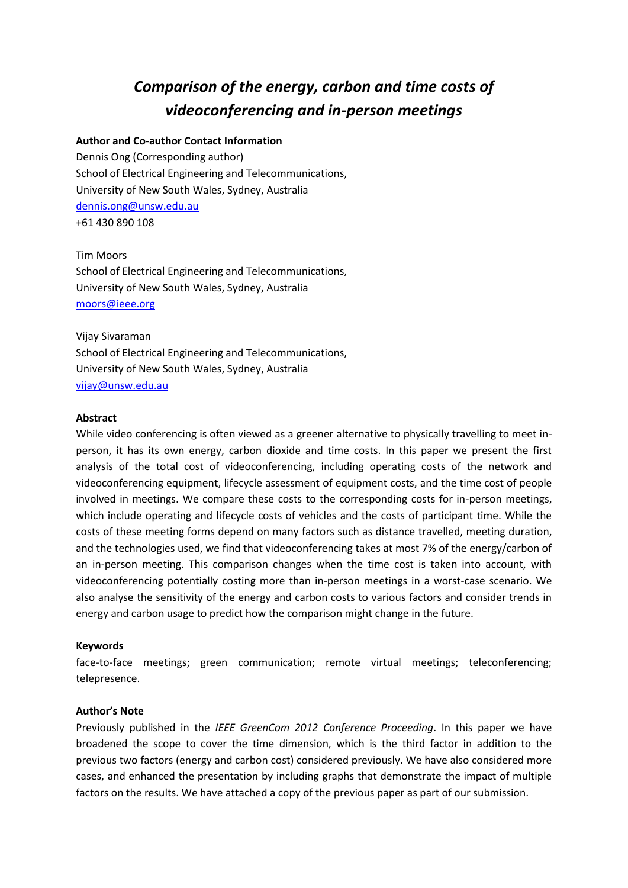# *Comparison of the energy, carbon and time costs of videoconferencing and in-person meetings*

#### **Author and Co-author Contact Information**

Dennis Ong (Corresponding author) School of Electrical Engineering and Telecommunications, University of New South Wales, Sydney, Australia [dennis.ong@unsw.edu.au](mailto:dennis.ong@unsw.edu.au) +61 430 890 108

Tim Moors School of Electrical Engineering and Telecommunications, University of New South Wales, Sydney, Australia [moors@ieee.org](mailto:moors@ieee.org)

Vijay Sivaraman School of Electrical Engineering and Telecommunications, University of New South Wales, Sydney, Australia [vijay@unsw.edu.au](mailto:vijay@unsw.edu.au)

#### **Abstract**

While video conferencing is often viewed as a greener alternative to physically travelling to meet inperson, it has its own energy, carbon dioxide and time costs. In this paper we present the first analysis of the total cost of videoconferencing, including operating costs of the network and videoconferencing equipment, lifecycle assessment of equipment costs, and the time cost of people involved in meetings. We compare these costs to the corresponding costs for in-person meetings, which include operating and lifecycle costs of vehicles and the costs of participant time. While the costs of these meeting forms depend on many factors such as distance travelled, meeting duration, and the technologies used, we find that videoconferencing takes at most 7% of the energy/carbon of an in-person meeting. This comparison changes when the time cost is taken into account, with videoconferencing potentially costing more than in-person meetings in a worst-case scenario. We also analyse the sensitivity of the energy and carbon costs to various factors and consider trends in energy and carbon usage to predict how the comparison might change in the future.

#### **Keywords**

face-to-face meetings; green communication; remote virtual meetings; teleconferencing; telepresence.

#### **Author's Note**

Previously published in the *IEEE GreenCom 2012 Conference Proceeding*. In this paper we have broadened the scope to cover the time dimension, which is the third factor in addition to the previous two factors (energy and carbon cost) considered previously. We have also considered more cases, and enhanced the presentation by including graphs that demonstrate the impact of multiple factors on the results. We have attached a copy of the previous paper as part of our submission.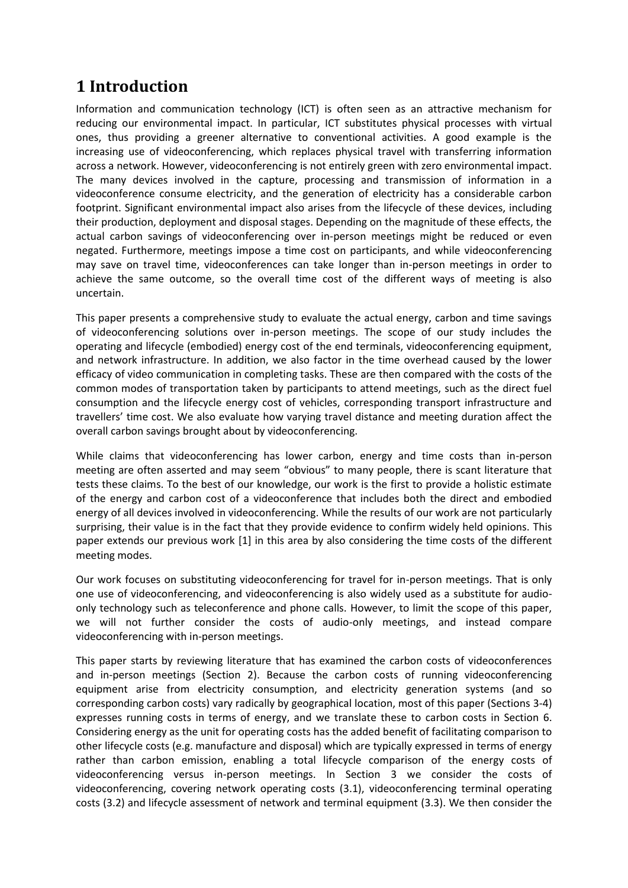## **1 Introduction**

Information and communication technology (ICT) is often seen as an attractive mechanism for reducing our environmental impact. In particular, ICT substitutes physical processes with virtual ones, thus providing a greener alternative to conventional activities. A good example is the increasing use of videoconferencing, which replaces physical travel with transferring information across a network. However, videoconferencing is not entirely green with zero environmental impact. The many devices involved in the capture, processing and transmission of information in a videoconference consume electricity, and the generation of electricity has a considerable carbon footprint. Significant environmental impact also arises from the lifecycle of these devices, including their production, deployment and disposal stages. Depending on the magnitude of these effects, the actual carbon savings of videoconferencing over in-person meetings might be reduced or even negated. Furthermore, meetings impose a time cost on participants, and while videoconferencing may save on travel time, videoconferences can take longer than in-person meetings in order to achieve the same outcome, so the overall time cost of the different ways of meeting is also uncertain.

This paper presents a comprehensive study to evaluate the actual energy, carbon and time savings of videoconferencing solutions over in-person meetings. The scope of our study includes the operating and lifecycle (embodied) energy cost of the end terminals, videoconferencing equipment, and network infrastructure. In addition, we also factor in the time overhead caused by the lower efficacy of video communication in completing tasks. These are then compared with the costs of the common modes of transportation taken by participants to attend meetings, such as the direct fuel consumption and the lifecycle energy cost of vehicles, corresponding transport infrastructure and travellers' time cost. We also evaluate how varying travel distance and meeting duration affect the overall carbon savings brought about by videoconferencing.

While claims that videoconferencing has lower carbon, energy and time costs than in-person meeting are often asserted and may seem "obvious" to many people, there is scant literature that tests these claims. To the best of our knowledge, our work is the first to provide a holistic estimate of the energy and carbon cost of a videoconference that includes both the direct and embodied energy of all devices involved in videoconferencing. While the results of our work are not particularly surprising, their value is in the fact that they provide evidence to confirm widely held opinions. This paper extends our previous work [\[1\]](#page-13-0) in this area by also considering the time costs of the different meeting modes.

Our work focuses on substituting videoconferencing for travel for in-person meetings. That is only one use of videoconferencing, and videoconferencing is also widely used as a substitute for audioonly technology such as teleconference and phone calls. However, to limit the scope of this paper, we will not further consider the costs of audio-only meetings, and instead compare videoconferencing with in-person meetings.

This paper starts by reviewing literature that has examined the carbon costs of videoconferences and in-person meetings (Section 2). Because the carbon costs of running videoconferencing equipment arise from electricity consumption, and electricity generation systems (and so corresponding carbon costs) vary radically by geographical location, most of this paper (Sections 3-4) expresses running costs in terms of energy, and we translate these to carbon costs in Section 6. Considering energy as the unit for operating costs has the added benefit of facilitating comparison to other lifecycle costs (e.g. manufacture and disposal) which are typically expressed in terms of energy rather than carbon emission, enabling a total lifecycle comparison of the energy costs of videoconferencing versus in-person meetings. In Section 3 we consider the costs of videoconferencing, covering network operating costs (3.1), videoconferencing terminal operating costs (3.2) and lifecycle assessment of network and terminal equipment (3.3). We then consider the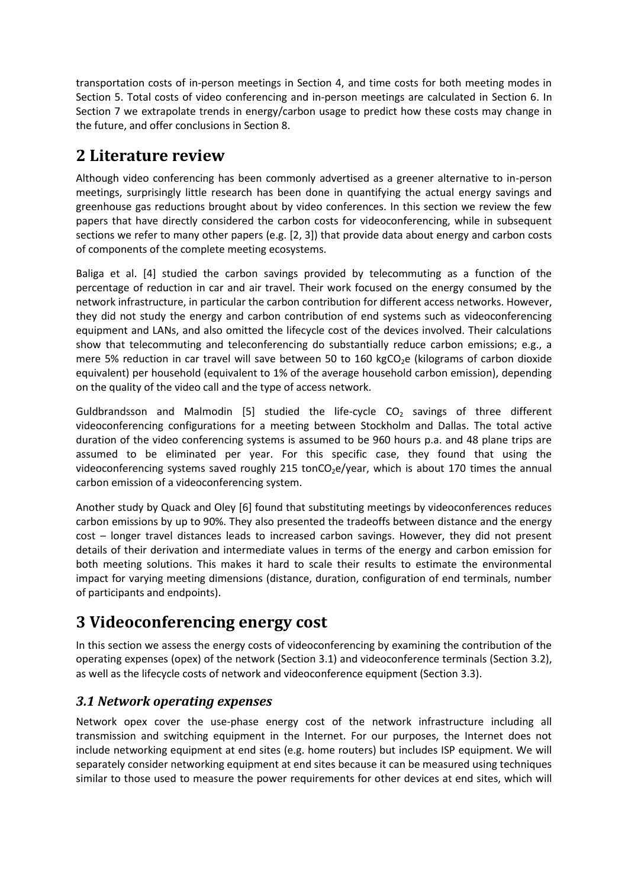transportation costs of in-person meetings in Section 4, and time costs for both meeting modes in Section 5. Total costs of video conferencing and in-person meetings are calculated in Section 6. In Section 7 we extrapolate trends in energy/carbon usage to predict how these costs may change in the future, and offer conclusions in Section 8.

## **2 Literature review**

Although video conferencing has been commonly advertised as a greener alternative to in-person meetings, surprisingly little research has been done in quantifying the actual energy savings and greenhouse gas reductions brought about by video conferences. In this section we review the few papers that have directly considered the carbon costs for videoconferencing, while in subsequent sections we refer to many other papers (e.g. [\[2,](#page-13-1) [3\]](#page-13-2)) that provide data about energy and carbon costs of components of the complete meeting ecosystems.

Baliga et al. [\[4\]](#page-13-3) studied the carbon savings provided by telecommuting as a function of the percentage of reduction in car and air travel. Their work focused on the energy consumed by the network infrastructure, in particular the carbon contribution for different access networks. However, they did not study the energy and carbon contribution of end systems such as videoconferencing equipment and LANs, and also omitted the lifecycle cost of the devices involved. Their calculations show that telecommuting and teleconferencing do substantially reduce carbon emissions; e.g., a mere 5% reduction in car travel will save between 50 to 160 kgCO<sub>2</sub>e (kilograms of carbon dioxide equivalent) per household (equivalent to 1% of the average household carbon emission), depending on the quality of the video call and the type of access network.

Guldbrandsson and Malmodin [\[5\]](#page-13-4) studied the life-cycle  $CO<sub>2</sub>$  savings of three different videoconferencing configurations for a meeting between Stockholm and Dallas. The total active duration of the video conferencing systems is assumed to be 960 hours p.a. and 48 plane trips are assumed to be eliminated per year. For this specific case, they found that using the videoconferencing systems saved roughly 215 tonCO<sub>2</sub>e/year, which is about 170 times the annual carbon emission of a videoconferencing system.

Another study by Quack and Oley [\[6\]](#page-13-5) found that substituting meetings by videoconferences reduces carbon emissions by up to 90%. They also presented the tradeoffs between distance and the energy cost – longer travel distances leads to increased carbon savings. However, they did not present details of their derivation and intermediate values in terms of the energy and carbon emission for both meeting solutions. This makes it hard to scale their results to estimate the environmental impact for varying meeting dimensions (distance, duration, configuration of end terminals, number of participants and endpoints).

## **3 Videoconferencing energy cost**

In this section we assess the energy costs of videoconferencing by examining the contribution of the operating expenses (opex) of the network (Section 3.1) and videoconference terminals (Section 3.2), as well as the lifecycle costs of network and videoconference equipment (Section 3.3).

### *3.1 Network operating expenses*

Network opex cover the use-phase energy cost of the network infrastructure including all transmission and switching equipment in the Internet. For our purposes, the Internet does not include networking equipment at end sites (e.g. home routers) but includes ISP equipment. We will separately consider networking equipment at end sites because it can be measured using techniques similar to those used to measure the power requirements for other devices at end sites, which will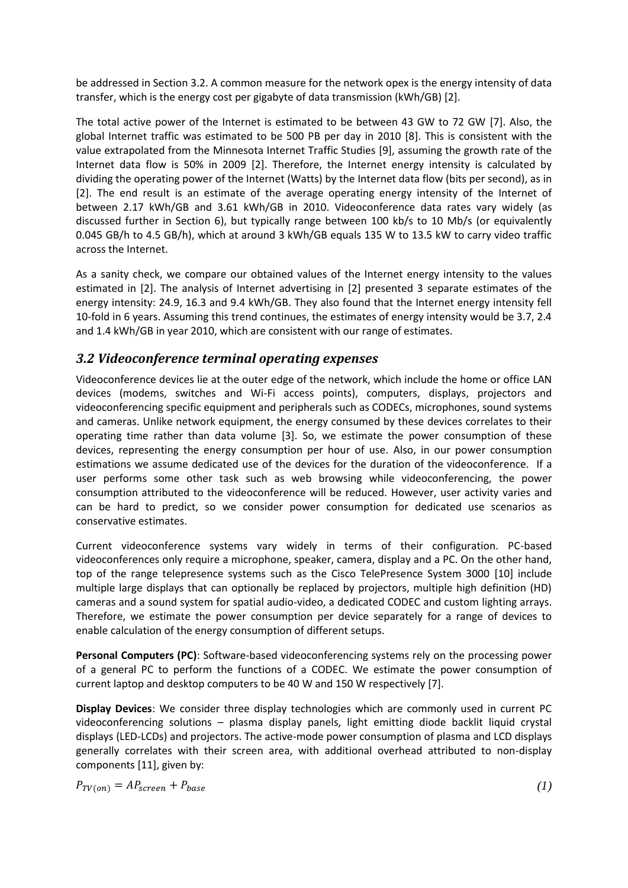be addressed in Section 3.2. A common measure for the network opex is the energy intensity of data transfer, which is the energy cost per gigabyte of data transmission (kWh/GB) [\[2\]](#page-13-1).

The total active power of the Internet is estimated to be between 43 GW to 72 GW [\[7\]](#page-13-6). Also, the global Internet traffic was estimated to be 500 PB per day in 2010 [\[8\]](#page-14-0). This is consistent with the value extrapolated from the Minnesota Internet Traffic Studies [\[9\]](#page-14-1), assuming the growth rate of the Internet data flow is 50% in 2009 [\[2\]](#page-13-1). Therefore, the Internet energy intensity is calculated by dividing the operating power of the Internet (Watts) by the Internet data flow (bits per second), as in [\[2\]](#page-13-1). The end result is an estimate of the average operating energy intensity of the Internet of between 2.17 kWh/GB and 3.61 kWh/GB in 2010. Videoconference data rates vary widely (as discussed further in Section 6), but typically range between 100 kb/s to 10 Mb/s (or equivalently 0.045 GB/h to 4.5 GB/h), which at around 3 kWh/GB equals 135 W to 13.5 kW to carry video traffic across the Internet.

As a sanity check, we compare our obtained values of the Internet energy intensity to the values estimated in [\[2\]](#page-13-1). The analysis of Internet advertising in [\[2\]](#page-13-1) presented 3 separate estimates of the energy intensity: 24.9, 16.3 and 9.4 kWh/GB. They also found that the Internet energy intensity fell 10-fold in 6 years. Assuming this trend continues, the estimates of energy intensity would be 3.7, 2.4 and 1.4 kWh/GB in year 2010, which are consistent with our range of estimates.

### *3.2 Videoconference terminal operating expenses*

Videoconference devices lie at the outer edge of the network, which include the home or office LAN devices (modems, switches and Wi-Fi access points), computers, displays, projectors and videoconferencing specific equipment and peripherals such as CODECs, microphones, sound systems and cameras. Unlike network equipment, the energy consumed by these devices correlates to their operating time rather than data volume [\[3\]](#page-13-2). So, we estimate the power consumption of these devices, representing the energy consumption per hour of use. Also, in our power consumption estimations we assume dedicated use of the devices for the duration of the videoconference. If a user performs some other task such as web browsing while videoconferencing, the power consumption attributed to the videoconference will be reduced. However, user activity varies and can be hard to predict, so we consider power consumption for dedicated use scenarios as conservative estimates.

Current videoconference systems vary widely in terms of their configuration. PC-based videoconferences only require a microphone, speaker, camera, display and a PC. On the other hand, top of the range telepresence systems such as the Cisco TelePresence System 3000 [\[10\]](#page-14-2) include multiple large displays that can optionally be replaced by projectors, multiple high definition (HD) cameras and a sound system for spatial audio-video, a dedicated CODEC and custom lighting arrays. Therefore, we estimate the power consumption per device separately for a range of devices to enable calculation of the energy consumption of different setups.

**Personal Computers (PC)**: Software-based videoconferencing systems rely on the processing power of a general PC to perform the functions of a CODEC. We estimate the power consumption of current laptop and desktop computers to be 40 W and 150 W respectively [\[7\]](#page-13-6).

**Display Devices**: We consider three display technologies which are commonly used in current PC videoconferencing solutions – plasma display panels, light emitting diode backlit liquid crystal displays (LED-LCDs) and projectors. The active-mode power consumption of plasma and LCD displays generally correlates with their screen area, with additional overhead attributed to non-display components [\[11\]](#page-14-3), given by:

 $P_{TV(on)} = AP_{screen} + P_{base}$  (1)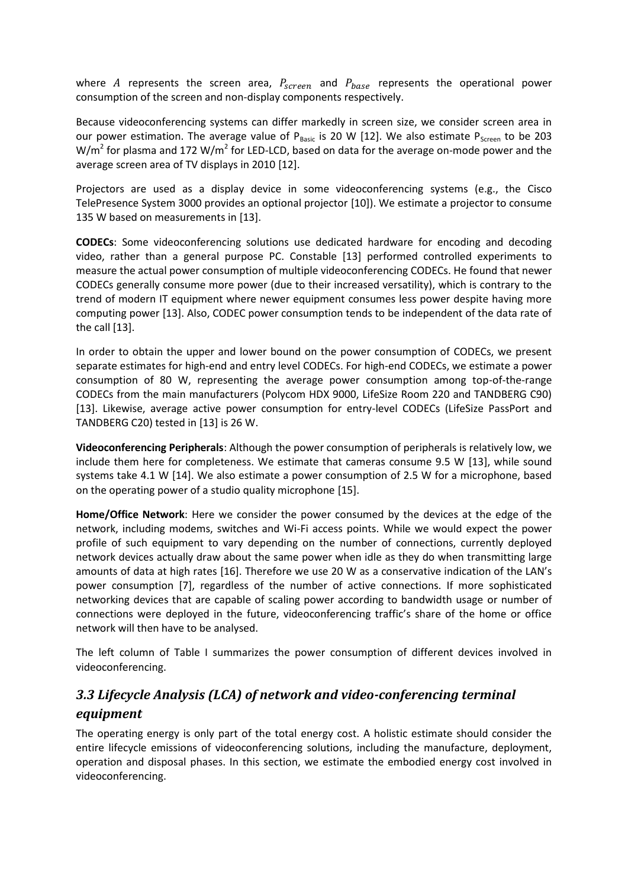where A represents the screen area,  $P_{screen}$  and  $P_{base}$  represents the operational power consumption of the screen and non-display components respectively.

Because videoconferencing systems can differ markedly in screen size, we consider screen area in our power estimation. The average value of  $P_{Basic}$  is 20 W [\[12\]](#page-14-4). We also estimate  $P_{Screen}$  to be 203 W/m<sup>2</sup> for plasma and 172 W/m<sup>2</sup> for LED-LCD, based on data for the average on-mode power and the average screen area of TV displays in 2010 [\[12\]](#page-14-4).

Projectors are used as a display device in some videoconferencing systems (e.g., the Cisco TelePresence System 3000 provides an optional projector [\[10\]](#page-14-2)). We estimate a projector to consume 135 W based on measurements in [\[13\]](#page-14-5).

**CODECs**: Some videoconferencing solutions use dedicated hardware for encoding and decoding video, rather than a general purpose PC. Constable [\[13\]](#page-14-5) performed controlled experiments to measure the actual power consumption of multiple videoconferencing CODECs. He found that newer CODECs generally consume more power (due to their increased versatility), which is contrary to the trend of modern IT equipment where newer equipment consumes less power despite having more computing power [\[13\]](#page-14-5). Also, CODEC power consumption tends to be independent of the data rate of the call [\[13\]](#page-14-5).

In order to obtain the upper and lower bound on the power consumption of CODECs, we present separate estimates for high-end and entry level CODECs. For high-end CODECs, we estimate a power consumption of 80 W, representing the average power consumption among top-of-the-range CODECs from the main manufacturers (Polycom HDX 9000, LifeSize Room 220 and TANDBERG C90) [\[13\]](#page-14-5). Likewise, average active power consumption for entry-level CODECs (LifeSize PassPort and TANDBERG C20) tested in [\[13\]](#page-14-5) is 26 W.

**Videoconferencing Peripherals**: Although the power consumption of peripherals is relatively low, we include them here for completeness. We estimate that cameras consume 9.5 W [\[13\]](#page-14-5), while sound systems take 4.1 W [\[14\]](#page-14-6). We also estimate a power consumption of 2.5 W for a microphone, based on the operating power of a studio quality microphone [\[15\]](#page-14-7).

**Home/Office Network**: Here we consider the power consumed by the devices at the edge of the network, including modems, switches and Wi-Fi access points. While we would expect the power profile of such equipment to vary depending on the number of connections, currently deployed network devices actually draw about the same power when idle as they do when transmitting large amounts of data at high rates [\[16\]](#page-14-8). Therefore we use 20 W as a conservative indication of the LAN's power consumption [\[7\]](#page-13-6), regardless of the number of active connections. If more sophisticated networking devices that are capable of scaling power according to bandwidth usage or number of connections were deployed in the future, videoconferencing traffic's share of the home or office network will then have to be analysed.

The left column of Table I summarizes the power consumption of different devices involved in videoconferencing.

### *3.3 Lifecycle Analysis (LCA) of network and video-conferencing terminal equipment*

The operating energy is only part of the total energy cost. A holistic estimate should consider the entire lifecycle emissions of videoconferencing solutions, including the manufacture, deployment, operation and disposal phases. In this section, we estimate the embodied energy cost involved in videoconferencing.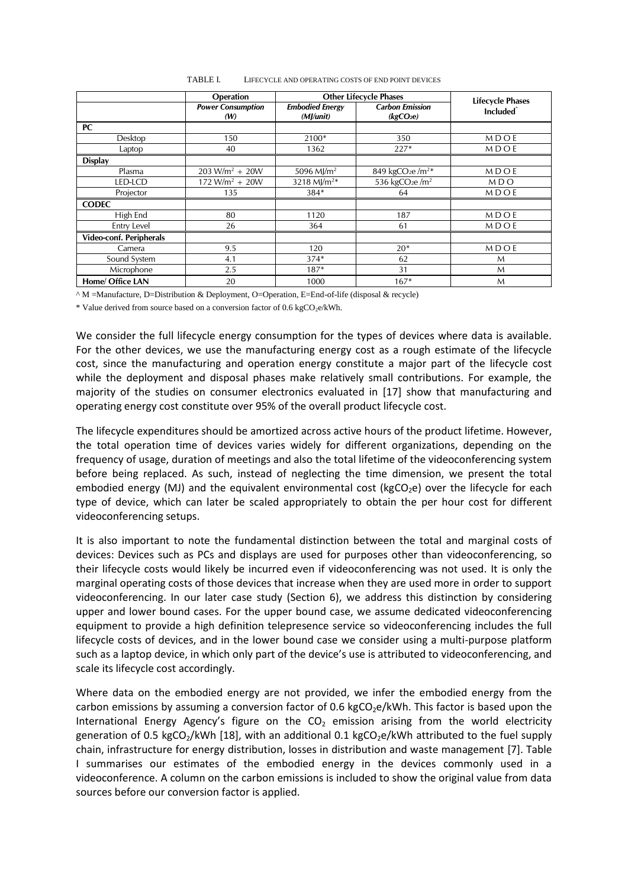|                                | Operation                         | <b>Other Lifecycle Phases</b>       |                                                 | <b>Lifecycle Phases</b> |
|--------------------------------|-----------------------------------|-------------------------------------|-------------------------------------------------|-------------------------|
|                                | <b>Power Consumption</b><br>(W)   | <b>Embodied Energy</b><br>(M)/unit) | <b>Carbon Emission</b><br>(kgCO <sub>2</sub> e) | <b>Included</b>         |
| <b>PC</b>                      |                                   |                                     |                                                 |                         |
| Desktop                        | 150                               | 2100*                               | 350                                             | MDOE                    |
| Laptop                         | 40                                | 1362                                | $227*$                                          | MDOE                    |
| <b>Display</b>                 |                                   |                                     |                                                 |                         |
| Plasma                         | $203$ W/m <sup>2</sup> + 20W      | 5096 MJ/m <sup>2</sup>              | 849 kgCO <sub>2</sub> e / $m^2*$                | MDOE                    |
| LED-LCD                        | $172 \text{ W/m}^2 + 20 \text{W}$ | 3218 MJ/ $m^{2*}$                   | 536 kg $CO2e/m2$                                | MDO                     |
| Projector                      | 135                               | $384*$                              | 64                                              | MDOE                    |
| <b>CODEC</b>                   |                                   |                                     |                                                 |                         |
| High End                       | 80                                | 1120                                | 187                                             | MDOE                    |
| Entry Level                    | 26                                | 364                                 | 61                                              | MDOE                    |
| <b>Video-conf. Peripherals</b> |                                   |                                     |                                                 |                         |
| Camera                         | 9.5                               | 120                                 | $20*$                                           | MDOE                    |
| Sound System                   | 4.1                               | $374*$                              | 62                                              | M                       |
| Microphone                     | 2.5                               | $187*$                              | 31                                              | M                       |
| Home/ Office LAN               | 20                                | 1000                                | $167*$                                          | M                       |

TABLE I. LIFECYCLE AND OPERATING COSTS OF END POINT DEVICES

^ M =Manufacture, D=Distribution & Deployment, O=Operation, E=End-of-life (disposal & recycle)

\* Value derived from source based on a conversion factor of 0.6 kgCO<sub>2</sub>e/kWh.

We consider the full lifecycle energy consumption for the types of devices where data is available. For the other devices, we use the manufacturing energy cost as a rough estimate of the lifecycle cost, since the manufacturing and operation energy constitute a major part of the lifecycle cost while the deployment and disposal phases make relatively small contributions. For example, the majority of the studies on consumer electronics evaluated in [\[17\]](#page-14-9) show that manufacturing and operating energy cost constitute over 95% of the overall product lifecycle cost.

The lifecycle expenditures should be amortized across active hours of the product lifetime. However, the total operation time of devices varies widely for different organizations, depending on the frequency of usage, duration of meetings and also the total lifetime of the videoconferencing system before being replaced. As such, instead of neglecting the time dimension, we present the total embodied energy  $(M)$  and the equivalent environmental cost (kgCO<sub>2</sub>e) over the lifecycle for each type of device, which can later be scaled appropriately to obtain the per hour cost for different videoconferencing setups.

It is also important to note the fundamental distinction between the total and marginal costs of devices: Devices such as PCs and displays are used for purposes other than videoconferencing, so their lifecycle costs would likely be incurred even if videoconferencing was not used. It is only the marginal operating costs of those devices that increase when they are used more in order to support videoconferencing. In our later case study (Section 6), we address this distinction by considering upper and lower bound cases. For the upper bound case, we assume dedicated videoconferencing equipment to provide a high definition telepresence service so videoconferencing includes the full lifecycle costs of devices, and in the lower bound case we consider using a multi-purpose platform such as a laptop device, in which only part of the device's use is attributed to videoconferencing, and scale its lifecycle cost accordingly.

Where data on the embodied energy are not provided, we infer the embodied energy from the carbon emissions by assuming a conversion factor of 0.6 kgCO<sub>2</sub>e/kWh. This factor is based upon the International Energy Agency's figure on the  $CO<sub>2</sub>$  emission arising from the world electricity generation of 0.5 kgCO<sub>2</sub>/kWh [\[18\]](#page-14-10), with an additional 0.1 kgCO<sub>2</sub>e/kWh attributed to the fuel supply chain, infrastructure for energy distribution, losses in distribution and waste management [\[7\]](#page-13-6). Table I summarises our estimates of the embodied energy in the devices commonly used in a videoconference. A column on the carbon emissions is included to show the original value from data sources before our conversion factor is applied.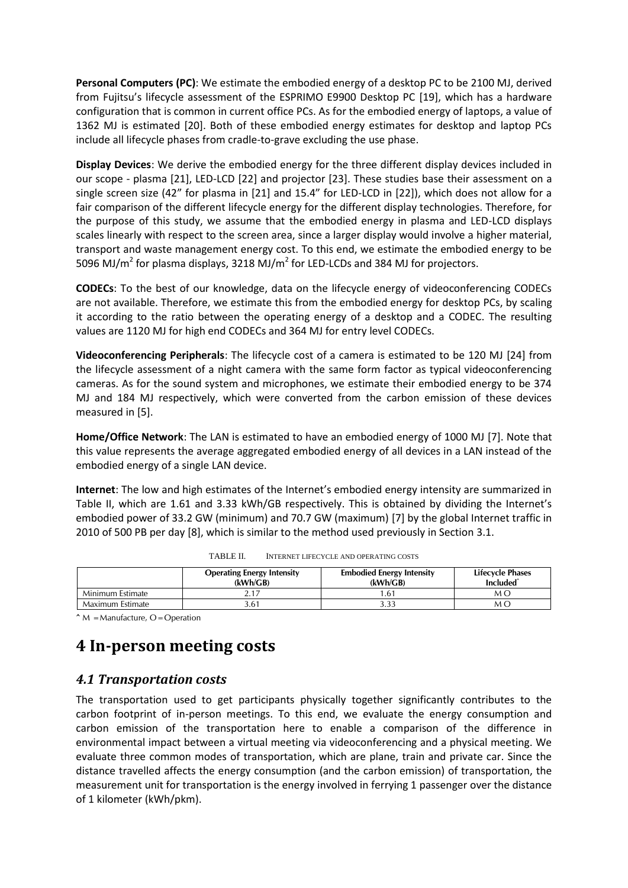**Personal Computers (PC)**: We estimate the embodied energy of a desktop PC to be 2100 MJ, derived from Fujitsu's lifecycle assessment of the ESPRIMO E9900 Desktop PC [\[19\]](#page-14-11), which has a hardware configuration that is common in current office PCs. As for the embodied energy of laptops, a value of 1362 MJ is estimated [\[20\]](#page-14-12). Both of these embodied energy estimates for desktop and laptop PCs include all lifecycle phases from cradle-to-grave excluding the use phase.

**Display Devices**: We derive the embodied energy for the three different display devices included in our scope - plasma [\[21\]](#page-14-13), LED-LCD [\[22\]](#page-14-14) and projector [\[23\]](#page-14-15). These studies base their assessment on a single screen size (42" for plasma in [\[21\]](#page-14-13) and 15.4" for LED-LCD in [\[22\]](#page-14-14)), which does not allow for a fair comparison of the different lifecycle energy for the different display technologies. Therefore, for the purpose of this study, we assume that the embodied energy in plasma and LED-LCD displays scales linearly with respect to the screen area, since a larger display would involve a higher material, transport and waste management energy cost. To this end, we estimate the embodied energy to be 5096 MJ/m<sup>2</sup> for plasma displays, 3218 MJ/m<sup>2</sup> for LED-LCDs and 384 MJ for projectors.

**CODECs**: To the best of our knowledge, data on the lifecycle energy of videoconferencing CODECs are not available. Therefore, we estimate this from the embodied energy for desktop PCs, by scaling it according to the ratio between the operating energy of a desktop and a CODEC. The resulting values are 1120 MJ for high end CODECs and 364 MJ for entry level CODECs.

**Videoconferencing Peripherals**: The lifecycle cost of a camera is estimated to be 120 MJ [\[24\]](#page-14-16) from the lifecycle assessment of a night camera with the same form factor as typical videoconferencing cameras. As for the sound system and microphones, we estimate their embodied energy to be 374 MJ and 184 MJ respectively, which were converted from the carbon emission of these devices measured in [\[5\]](#page-13-4).

**Home/Office Network**: The LAN is estimated to have an embodied energy of 1000 MJ [\[7\]](#page-13-6). Note that this value represents the average aggregated embodied energy of all devices in a LAN instead of the embodied energy of a single LAN device.

**Internet**: The low and high estimates of the Internet's embodied energy intensity are summarized in Table II, which are 1.61 and 3.33 kWh/GB respectively. This is obtained by dividing the Internet's embodied power of 33.2 GW (minimum) and 70.7 GW (maximum) [\[7\]](#page-13-6) by the global Internet traffic in 2010 of 500 PB per day [\[8\]](#page-14-0), which is similar to the method used previously in Section 3.1.

|                  | <b>Operating Energy Intensity</b><br>(kWh/GB) | <b>Embodied Energy Intensity</b><br>(kWh/GB) | Lifecycle Phases<br>Included <sup>^</sup> |
|------------------|-----------------------------------------------|----------------------------------------------|-------------------------------------------|
| Minimum Estimate |                                               | 1.61                                         | MО                                        |
| Maximum Estimate | 5.61                                          |                                              | M O                                       |
|                  |                                               |                                              |                                           |

 $^{\wedge}$  M = Manufacture, O = Operation

## **4 In-person meeting costs**

### *4.1 Transportation costs*

The transportation used to get participants physically together significantly contributes to the carbon footprint of in-person meetings. To this end, we evaluate the energy consumption and carbon emission of the transportation here to enable a comparison of the difference in environmental impact between a virtual meeting via videoconferencing and a physical meeting. We evaluate three common modes of transportation, which are plane, train and private car. Since the distance travelled affects the energy consumption (and the carbon emission) of transportation, the measurement unit for transportation is the energy involved in ferrying 1 passenger over the distance of 1 kilometer (kWh/pkm).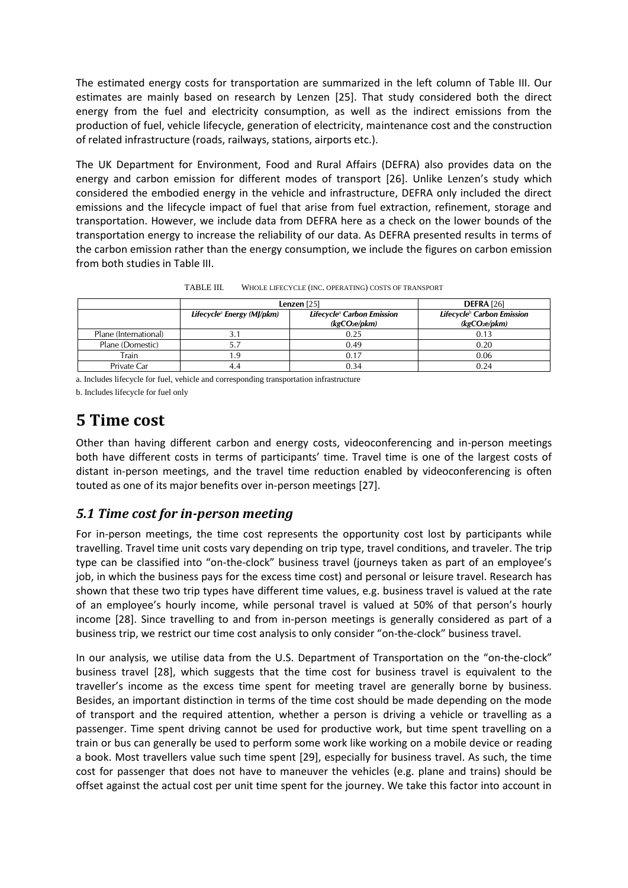The estimated energy costs for transportation are summarized in the left column of Table III. Our estimates are mainly based on research by Lenzen [\[25\]](#page-14-17). That study considered both the direct energy from the fuel and electricity consumption, as well as the indirect emissions from the production of fuel, vehicle lifecycle, generation of electricity, maintenance cost and the construction of related infrastructure (roads, railways, stations, airports etc.).

The UK Department for Environment, Food and Rural Affairs (DEFRA) also provides data on the energy and carbon emission for different modes of transport [\[26\]](#page-14-18). Unlike Lenzen's study which considered the embodied energy in the vehicle and infrastructure, DEFRA only included the direct emissions and the lifecycle impact of fuel that arise from fuel extraction, refinement, storage and transportation. However, we include data from DEFRA here as a check on the lower bounds of the transportation energy to increase the reliability of our data. As DEFRA presented results in terms of the carbon emission rather than the energy consumption, we include the figures on carbon emission from both studies in Table III.

|                       | Lenzen $[25]$                          | <b>DEFRA</b> [26]                                                    |                                                                     |
|-----------------------|----------------------------------------|----------------------------------------------------------------------|---------------------------------------------------------------------|
|                       | Lifecycle <sup>a</sup> Energy (MJ/pkm) | Lifecycle <sup>a</sup> Carbon Emission<br>(kgCO <sub>2</sub> e/plcm) | Lifecycle <sup>b</sup> Carbon Emission<br>(kgCO <sub>2</sub> e/pkm) |
| Plane (International) |                                        | 0.25                                                                 | 0.13                                                                |
| Plane (Domestic)      |                                        | 0.49                                                                 | 0.20                                                                |
| Train                 |                                        | 0.17                                                                 | 0.06                                                                |
| Private Car           | 4.4                                    | 0.34                                                                 | 0.24                                                                |

TABLE III. WHOLE LIFECYCLE (INC. OPERATING) COSTS OF TRANSPORT

a. Includes lifecycle for fuel, vehicle and corresponding transportation infrastructure b. Includes lifecycle for fuel only

## **5 Time cost**

Other than having different carbon and energy costs, videoconferencing and in-person meetings both have different costs in terms of participants' time. Travel time is one of the largest costs of distant in-person meetings, and the travel time reduction enabled by videoconferencing is often touted as one of its major benefits over in-person meetings [\[27\]](#page-14-19).

### *5.1 Time cost for in-person meeting*

For in-person meetings, the time cost represents the opportunity cost lost by participants while travelling. Travel time unit costs vary depending on trip type, travel conditions, and traveler. The trip type can be classified into "on-the-clock" business travel (journeys taken as part of an employee's job, in which the business pays for the excess time cost) and personal or leisure travel. Research has shown that these two trip types have different time values, e.g. business travel is valued at the rate of an employee's hourly income, while personal travel is valued at 50% of that person's hourly income [\[28\]](#page-14-20). Since travelling to and from in-person meetings is generally considered as part of a business trip, we restrict our time cost analysis to only consider "on-the-clock" business travel.

In our analysis, we utilise data from the U.S. Department of Transportation on the "on-the-clock" business travel [\[28\]](#page-14-20), which suggests that the time cost for business travel is equivalent to the traveller's income as the excess time spent for meeting travel are generally borne by business. Besides, an important distinction in terms of the time cost should be made depending on the mode of transport and the required attention, whether a person is driving a vehicle or travelling as a passenger. Time spent driving cannot be used for productive work, but time spent travelling on a train or bus can generally be used to perform some work like working on a mobile device or reading a book. Most travellers value such time spent [\[29\]](#page-15-0), especially for business travel. As such, the time cost for passenger that does not have to maneuver the vehicles (e.g. plane and trains) should be offset against the actual cost per unit time spent for the journey. We take this factor into account in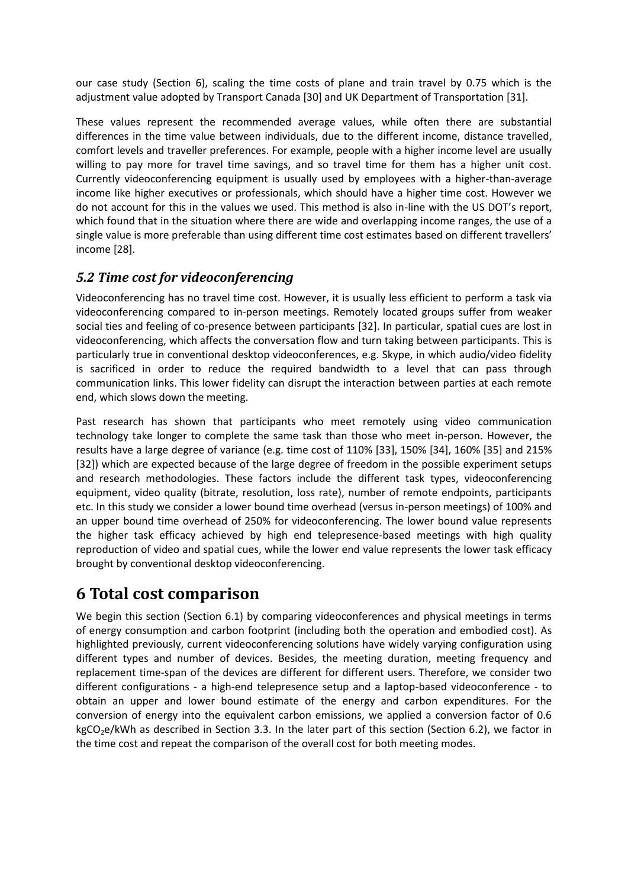our case study (Section 6), scaling the time costs of plane and train travel by 0.75 which is the adjustment value adopted by Transport Canada [\[30\]](#page-15-1) and UK Department of Transportation [\[31\]](#page-15-2).

These values represent the recommended average values, while often there are substantial differences in the time value between individuals, due to the different income, distance travelled, comfort levels and traveller preferences. For example, people with a higher income level are usually willing to pay more for travel time savings, and so travel time for them has a higher unit cost. Currently videoconferencing equipment is usually used by employees with a higher-than-average income like higher executives or professionals, which should have a higher time cost. However we do not account for this in the values we used. This method is also in-line with the US DOT's report, which found that in the situation where there are wide and overlapping income ranges, the use of a single value is more preferable than using different time cost estimates based on different travellers' income [\[28\]](#page-14-20).

### *5.2 Time cost for videoconferencing*

Videoconferencing has no travel time cost. However, it is usually less efficient to perform a task via videoconferencing compared to in-person meetings. Remotely located groups suffer from weaker social ties and feeling of co-presence between participants [\[32\]](#page-15-3). In particular, spatial cues are lost in videoconferencing, which affects the conversation flow and turn taking between participants. This is particularly true in conventional desktop videoconferences, e.g. Skype, in which audio/video fidelity is sacrificed in order to reduce the required bandwidth to a level that can pass through communication links. This lower fidelity can disrupt the interaction between parties at each remote end, which slows down the meeting.

Past research has shown that participants who meet remotely using video communication technology take longer to complete the same task than those who meet in-person. However, the results have a large degree of variance (e.g. time cost of 110% [\[33\]](#page-15-4), 150% [\[34\]](#page-15-5), 160% [\[35\]](#page-15-6) and 215% [\[32\]](#page-15-3)) which are expected because of the large degree of freedom in the possible experiment setups and research methodologies. These factors include the different task types, videoconferencing equipment, video quality (bitrate, resolution, loss rate), number of remote endpoints, participants etc. In this study we consider a lower bound time overhead (versus in-person meetings) of 100% and an upper bound time overhead of 250% for videoconferencing. The lower bound value represents the higher task efficacy achieved by high end telepresence-based meetings with high quality reproduction of video and spatial cues, while the lower end value represents the lower task efficacy brought by conventional desktop videoconferencing.

## **6 Total cost comparison**

We begin this section (Section 6.1) by comparing videoconferences and physical meetings in terms of energy consumption and carbon footprint (including both the operation and embodied cost). As highlighted previously, current videoconferencing solutions have widely varying configuration using different types and number of devices. Besides, the meeting duration, meeting frequency and replacement time-span of the devices are different for different users. Therefore, we consider two different configurations - a high-end telepresence setup and a laptop-based videoconference - to obtain an upper and lower bound estimate of the energy and carbon expenditures. For the conversion of energy into the equivalent carbon emissions, we applied a conversion factor of 0.6 kgCO<sub>2</sub>e/kWh as described in Section 3.3. In the later part of this section (Section 6.2), we factor in the time cost and repeat the comparison of the overall cost for both meeting modes.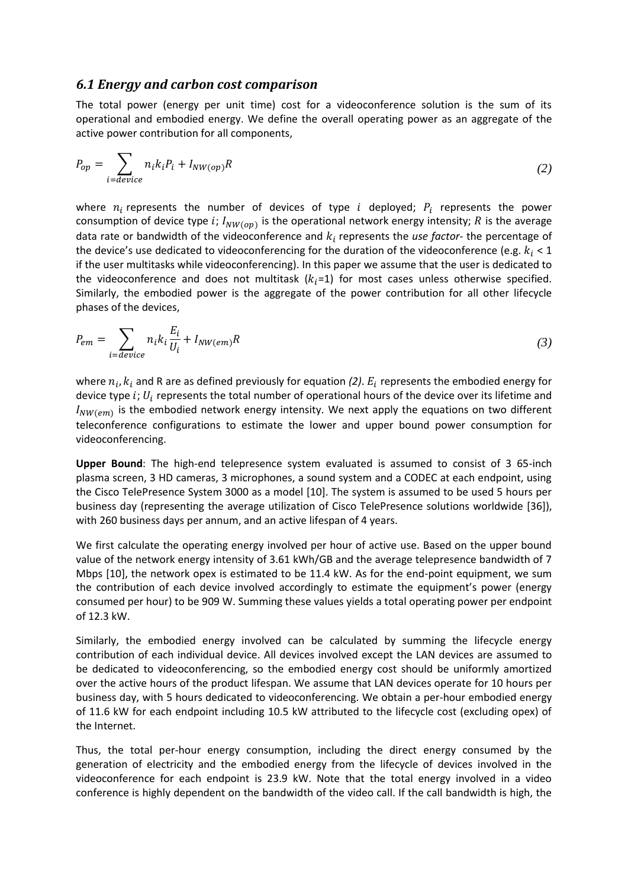#### *6.1 Energy and carbon cost comparison*

The total power (energy per unit time) cost for a videoconference solution is the sum of its operational and embodied energy. We define the overall operating power as an aggregate of the active power contribution for all components,

$$
P_{op} = \sum_{i=device} n_i k_i P_i + I_{NW(op)} R
$$
 (2)

where  $n_i$  represents the number of devices of type i deployed;  $P_i$  represents the power consumption of device type i;  $I_{NW(op)}$  is the operational network energy intensity; R is the average data rate or bandwidth of the videoconference and  $k_i$  represents the *use factor*- the percentage of the device's use dedicated to videoconferencing for the duration of the videoconference (e.g.  $k_i < 1$ ) if the user multitasks while videoconferencing). In this paper we assume that the user is dedicated to the videoconference and does not multitask  $(k_i=1)$  for most cases unless otherwise specified. Similarly, the embodied power is the aggregate of the power contribution for all other lifecycle phases of the devices,

$$
P_{em} = \sum_{i=device} n_i k_i \frac{E_i}{U_i} + I_{NW(em)} R
$$
\n(3)

where  $n_i$ ,  $k_i$  and R are as defined previously for equation (2).  $E_i$  represents the embodied energy for device type *i*;  $U_i$  represents the total number of operational hours of the device over its lifetime and  $I_{NW(em)}$  is the embodied network energy intensity. We next apply the equations on two different teleconference configurations to estimate the lower and upper bound power consumption for videoconferencing.

**Upper Bound**: The high-end telepresence system evaluated is assumed to consist of 3 65-inch plasma screen, 3 HD cameras, 3 microphones, a sound system and a CODEC at each endpoint, using the Cisco TelePresence System 3000 as a model [\[10\]](#page-14-2). The system is assumed to be used 5 hours per business day (representing the average utilization of Cisco TelePresence solutions worldwide [\[36\]](#page-15-7)), with 260 business days per annum, and an active lifespan of 4 years.

We first calculate the operating energy involved per hour of active use. Based on the upper bound value of the network energy intensity of 3.61 kWh/GB and the average telepresence bandwidth of 7 Mbps [\[10\]](#page-14-2), the network opex is estimated to be 11.4 kW. As for the end-point equipment, we sum the contribution of each device involved accordingly to estimate the equipment's power (energy consumed per hour) to be 909 W. Summing these values yields a total operating power per endpoint of 12.3 kW.

Similarly, the embodied energy involved can be calculated by summing the lifecycle energy contribution of each individual device. All devices involved except the LAN devices are assumed to be dedicated to videoconferencing, so the embodied energy cost should be uniformly amortized over the active hours of the product lifespan. We assume that LAN devices operate for 10 hours per business day, with 5 hours dedicated to videoconferencing. We obtain a per-hour embodied energy of 11.6 kW for each endpoint including 10.5 kW attributed to the lifecycle cost (excluding opex) of the Internet.

Thus, the total per-hour energy consumption, including the direct energy consumed by the generation of electricity and the embodied energy from the lifecycle of devices involved in the videoconference for each endpoint is 23.9 kW. Note that the total energy involved in a video conference is highly dependent on the bandwidth of the video call. If the call bandwidth is high, the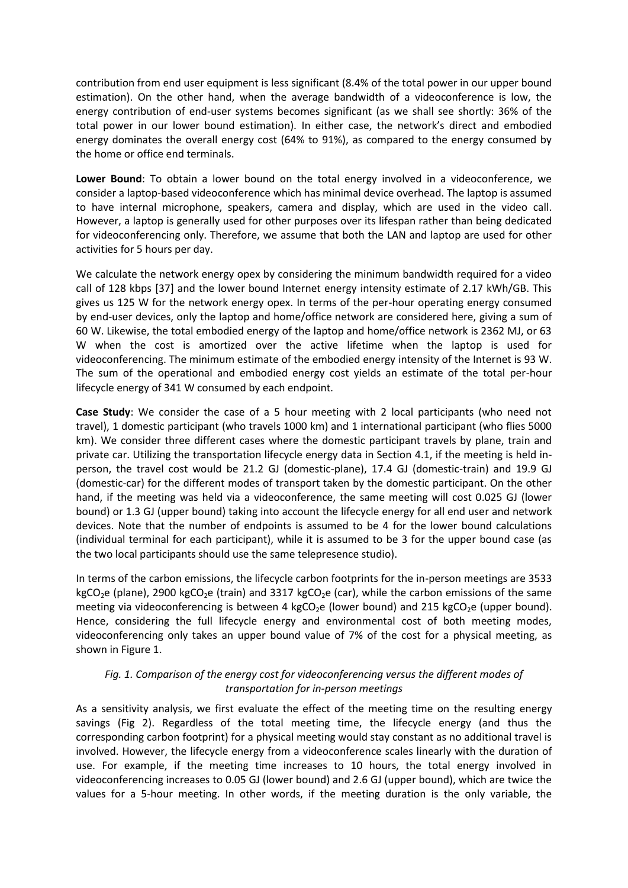contribution from end user equipment is less significant (8.4% of the total power in our upper bound estimation). On the other hand, when the average bandwidth of a videoconference is low, the energy contribution of end-user systems becomes significant (as we shall see shortly: 36% of the total power in our lower bound estimation). In either case, the network's direct and embodied energy dominates the overall energy cost (64% to 91%), as compared to the energy consumed by the home or office end terminals.

**Lower Bound**: To obtain a lower bound on the total energy involved in a videoconference, we consider a laptop-based videoconference which has minimal device overhead. The laptop is assumed to have internal microphone, speakers, camera and display, which are used in the video call. However, a laptop is generally used for other purposes over its lifespan rather than being dedicated for videoconferencing only. Therefore, we assume that both the LAN and laptop are used for other activities for 5 hours per day.

We calculate the network energy opex by considering the minimum bandwidth required for a video call of 128 kbps [\[37\]](#page-15-8) and the lower bound Internet energy intensity estimate of 2.17 kWh/GB. This gives us 125 W for the network energy opex. In terms of the per-hour operating energy consumed by end-user devices, only the laptop and home/office network are considered here, giving a sum of 60 W. Likewise, the total embodied energy of the laptop and home/office network is 2362 MJ, or 63 W when the cost is amortized over the active lifetime when the laptop is used for videoconferencing. The minimum estimate of the embodied energy intensity of the Internet is 93 W. The sum of the operational and embodied energy cost yields an estimate of the total per-hour lifecycle energy of 341 W consumed by each endpoint.

**Case Study**: We consider the case of a 5 hour meeting with 2 local participants (who need not travel), 1 domestic participant (who travels 1000 km) and 1 international participant (who flies 5000 km). We consider three different cases where the domestic participant travels by plane, train and private car. Utilizing the transportation lifecycle energy data in Section 4.1, if the meeting is held inperson, the travel cost would be 21.2 GJ (domestic-plane), 17.4 GJ (domestic-train) and 19.9 GJ (domestic-car) for the different modes of transport taken by the domestic participant. On the other hand, if the meeting was held via a videoconference, the same meeting will cost 0.025 GJ (lower bound) or 1.3 GJ (upper bound) taking into account the lifecycle energy for all end user and network devices. Note that the number of endpoints is assumed to be 4 for the lower bound calculations (individual terminal for each participant), while it is assumed to be 3 for the upper bound case (as the two local participants should use the same telepresence studio).

In terms of the carbon emissions, the lifecycle carbon footprints for the in-person meetings are 3533 kgCO<sub>2</sub>e (plane), 2900 kgCO<sub>2</sub>e (train) and 3317 kgCO<sub>2</sub>e (car), while the carbon emissions of the same meeting via videoconferencing is between 4 kgCO<sub>2</sub>e (lower bound) and 215 kgCO<sub>2</sub>e (upper bound). Hence, considering the full lifecycle energy and environmental cost of both meeting modes, videoconferencing only takes an upper bound value of 7% of the cost for a physical meeting, as shown in Figure 1.

#### *Fig. 1. Comparison of the energy cost for videoconferencing versus the different modes of transportation for in-person meetings*

As a sensitivity analysis, we first evaluate the effect of the meeting time on the resulting energy savings (Fig 2). Regardless of the total meeting time, the lifecycle energy (and thus the corresponding carbon footprint) for a physical meeting would stay constant as no additional travel is involved. However, the lifecycle energy from a videoconference scales linearly with the duration of use. For example, if the meeting time increases to 10 hours, the total energy involved in videoconferencing increases to 0.05 GJ (lower bound) and 2.6 GJ (upper bound), which are twice the values for a 5-hour meeting. In other words, if the meeting duration is the only variable, the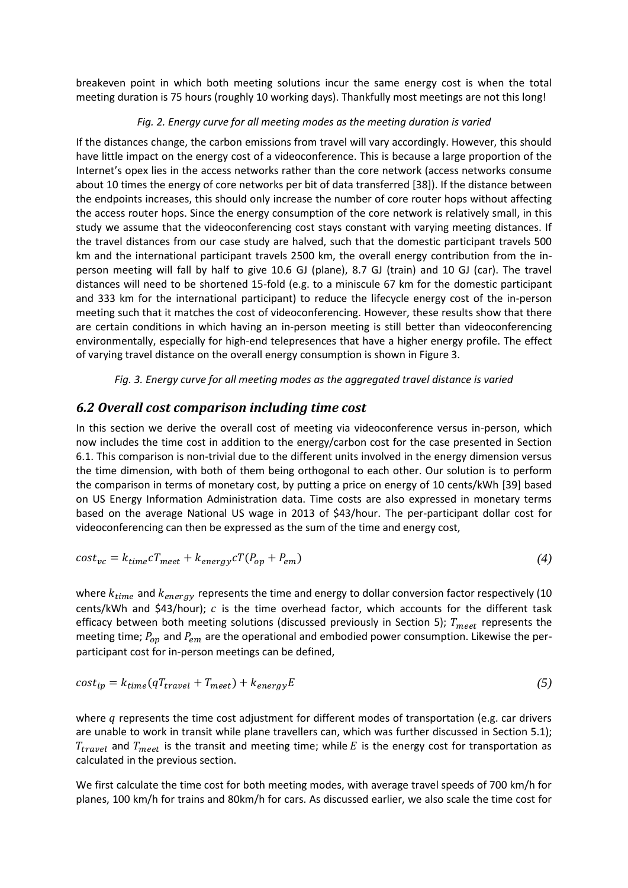breakeven point in which both meeting solutions incur the same energy cost is when the total meeting duration is 75 hours (roughly 10 working days). Thankfully most meetings are not this long!

#### *Fig. 2. Energy curve for all meeting modes as the meeting duration is varied*

If the distances change, the carbon emissions from travel will vary accordingly. However, this should have little impact on the energy cost of a videoconference. This is because a large proportion of the Internet's opex lies in the access networks rather than the core network (access networks consume about 10 times the energy of core networks per bit of data transferred [\[38\]](#page-15-9)). If the distance between the endpoints increases, this should only increase the number of core router hops without affecting the access router hops. Since the energy consumption of the core network is relatively small, in this study we assume that the videoconferencing cost stays constant with varying meeting distances. If the travel distances from our case study are halved, such that the domestic participant travels 500 km and the international participant travels 2500 km, the overall energy contribution from the inperson meeting will fall by half to give 10.6 GJ (plane), 8.7 GJ (train) and 10 GJ (car). The travel distances will need to be shortened 15-fold (e.g. to a miniscule 67 km for the domestic participant and 333 km for the international participant) to reduce the lifecycle energy cost of the in-person meeting such that it matches the cost of videoconferencing. However, these results show that there are certain conditions in which having an in-person meeting is still better than videoconferencing environmentally, especially for high-end telepresences that have a higher energy profile. The effect of varying travel distance on the overall energy consumption is shown in Figure 3.

*Fig. 3. Energy curve for all meeting modes as the aggregated travel distance is varied*

#### *6.2 Overall cost comparison including time cost*

In this section we derive the overall cost of meeting via videoconference versus in-person, which now includes the time cost in addition to the energy/carbon cost for the case presented in Section 6.1. This comparison is non-trivial due to the different units involved in the energy dimension versus the time dimension, with both of them being orthogonal to each other. Our solution is to perform the comparison in terms of monetary cost, by putting a price on energy of 10 cents/kWh [\[39\]](#page-15-10) based on US Energy Information Administration data. Time costs are also expressed in monetary terms based on the average National US wage in 2013 of \$43/hour. The per-participant dollar cost for videoconferencing can then be expressed as the sum of the time and energy cost,

$$
cost_{vc} = k_{time}cT_{meet} + k_{energy}cT(P_{op} + P_{em})
$$
\n(4)

where  $k_{time}$  and  $k_{energy}$  represents the time and energy to dollar conversion factor respectively (10 cents/kWh and \$43/hour);  $c$  is the time overhead factor, which accounts for the different task efficacy between both meeting solutions (discussed previously in Section 5);  $T_{meet}$  represents the meeting time;  $P_{op}$  and  $P_{em}$  are the operational and embodied power consumption. Likewise the perparticipant cost for in-person meetings can be defined,

$$
cost_{ip} = k_{time}(qT_{travel} + T_{meet}) + k_{energy}E
$$
\n(5)

where  $q$  represents the time cost adjustment for different modes of transportation (e.g. car drivers are unable to work in transit while plane travellers can, which was further discussed in Section 5.1);  $T_{travel}$  and  $T_{meet}$  is the transit and meeting time; while E is the energy cost for transportation as calculated in the previous section.

We first calculate the time cost for both meeting modes, with average travel speeds of 700 km/h for planes, 100 km/h for trains and 80km/h for cars. As discussed earlier, we also scale the time cost for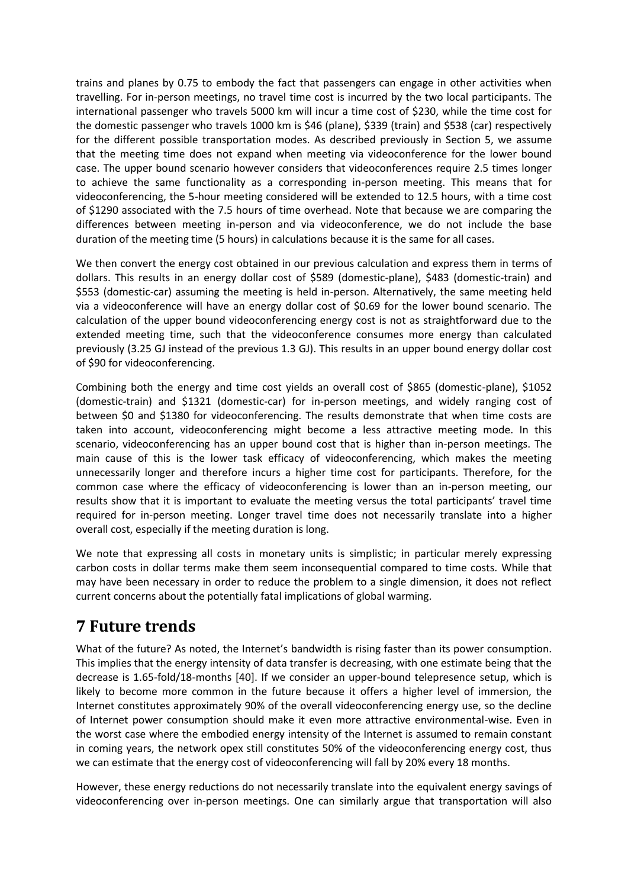trains and planes by 0.75 to embody the fact that passengers can engage in other activities when travelling. For in-person meetings, no travel time cost is incurred by the two local participants. The international passenger who travels 5000 km will incur a time cost of \$230, while the time cost for the domestic passenger who travels 1000 km is \$46 (plane), \$339 (train) and \$538 (car) respectively for the different possible transportation modes. As described previously in Section 5, we assume that the meeting time does not expand when meeting via videoconference for the lower bound case. The upper bound scenario however considers that videoconferences require 2.5 times longer to achieve the same functionality as a corresponding in-person meeting. This means that for videoconferencing, the 5-hour meeting considered will be extended to 12.5 hours, with a time cost of \$1290 associated with the 7.5 hours of time overhead. Note that because we are comparing the differences between meeting in-person and via videoconference, we do not include the base duration of the meeting time (5 hours) in calculations because it is the same for all cases.

We then convert the energy cost obtained in our previous calculation and express them in terms of dollars. This results in an energy dollar cost of \$589 (domestic-plane), \$483 (domestic-train) and \$553 (domestic-car) assuming the meeting is held in-person. Alternatively, the same meeting held via a videoconference will have an energy dollar cost of \$0.69 for the lower bound scenario. The calculation of the upper bound videoconferencing energy cost is not as straightforward due to the extended meeting time, such that the videoconference consumes more energy than calculated previously (3.25 GJ instead of the previous 1.3 GJ). This results in an upper bound energy dollar cost of \$90 for videoconferencing.

Combining both the energy and time cost yields an overall cost of \$865 (domestic-plane), \$1052 (domestic-train) and \$1321 (domestic-car) for in-person meetings, and widely ranging cost of between \$0 and \$1380 for videoconferencing. The results demonstrate that when time costs are taken into account, videoconferencing might become a less attractive meeting mode. In this scenario, videoconferencing has an upper bound cost that is higher than in-person meetings. The main cause of this is the lower task efficacy of videoconferencing, which makes the meeting unnecessarily longer and therefore incurs a higher time cost for participants. Therefore, for the common case where the efficacy of videoconferencing is lower than an in-person meeting, our results show that it is important to evaluate the meeting versus the total participants' travel time required for in-person meeting. Longer travel time does not necessarily translate into a higher overall cost, especially if the meeting duration is long.

We note that expressing all costs in monetary units is simplistic; in particular merely expressing carbon costs in dollar terms make them seem inconsequential compared to time costs. While that may have been necessary in order to reduce the problem to a single dimension, it does not reflect current concerns about the potentially fatal implications of global warming.

## **7 Future trends**

What of the future? As noted, the Internet's bandwidth is rising faster than its power consumption. This implies that the energy intensity of data transfer is decreasing, with one estimate being that the decrease is 1.65-fold/18-months [\[40\]](#page-15-11). If we consider an upper-bound telepresence setup, which is likely to become more common in the future because it offers a higher level of immersion, the Internet constitutes approximately 90% of the overall videoconferencing energy use, so the decline of Internet power consumption should make it even more attractive environmental-wise. Even in the worst case where the embodied energy intensity of the Internet is assumed to remain constant in coming years, the network opex still constitutes 50% of the videoconferencing energy cost, thus we can estimate that the energy cost of videoconferencing will fall by 20% every 18 months.

However, these energy reductions do not necessarily translate into the equivalent energy savings of videoconferencing over in-person meetings. One can similarly argue that transportation will also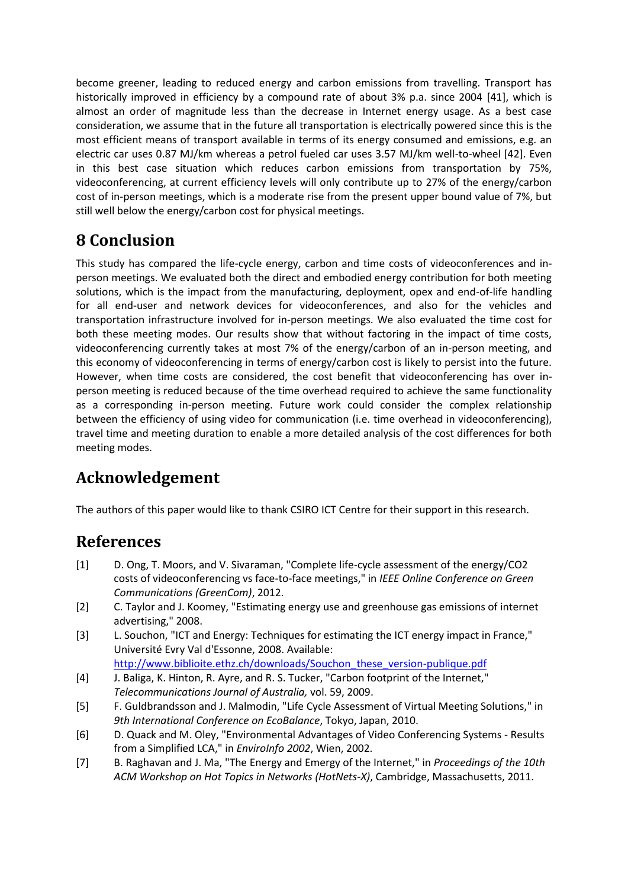become greener, leading to reduced energy and carbon emissions from travelling. Transport has historically improved in efficiency by a compound rate of about 3% p.a. since 2004 [\[41\]](#page-15-12), which is almost an order of magnitude less than the decrease in Internet energy usage. As a best case consideration, we assume that in the future all transportation is electrically powered since this is the most efficient means of transport available in terms of its energy consumed and emissions, e.g. an electric car uses 0.87 MJ/km whereas a petrol fueled car uses 3.57 MJ/km well-to-wheel [\[42\]](#page-15-13). Even in this best case situation which reduces carbon emissions from transportation by 75%, videoconferencing, at current efficiency levels will only contribute up to 27% of the energy/carbon cost of in-person meetings, which is a moderate rise from the present upper bound value of 7%, but still well below the energy/carbon cost for physical meetings.

# **8 Conclusion**

This study has compared the life-cycle energy, carbon and time costs of videoconferences and inperson meetings. We evaluated both the direct and embodied energy contribution for both meeting solutions, which is the impact from the manufacturing, deployment, opex and end-of-life handling for all end-user and network devices for videoconferences, and also for the vehicles and transportation infrastructure involved for in-person meetings. We also evaluated the time cost for both these meeting modes. Our results show that without factoring in the impact of time costs, videoconferencing currently takes at most 7% of the energy/carbon of an in-person meeting, and this economy of videoconferencing in terms of energy/carbon cost is likely to persist into the future. However, when time costs are considered, the cost benefit that videoconferencing has over inperson meeting is reduced because of the time overhead required to achieve the same functionality as a corresponding in-person meeting. Future work could consider the complex relationship between the efficiency of using video for communication (i.e. time overhead in videoconferencing), travel time and meeting duration to enable a more detailed analysis of the cost differences for both meeting modes.

# **Acknowledgement**

The authors of this paper would like to thank CSIRO ICT Centre for their support in this research.

## **References**

- <span id="page-13-0"></span>[1] D. Ong, T. Moors, and V. Sivaraman, "Complete life-cycle assessment of the energy/CO2 costs of videoconferencing vs face-to-face meetings," in *IEEE Online Conference on Green Communications (GreenCom)*, 2012.
- <span id="page-13-1"></span>[2] C. Taylor and J. Koomey, "Estimating energy use and greenhouse gas emissions of internet advertising," 2008.
- <span id="page-13-2"></span>[3] L. Souchon, "ICT and Energy: Techniques for estimating the ICT energy impact in France," Université Evry Val d'Essonne, 2008. Available:
- [http://www.biblioite.ethz.ch/downloads/Souchon\\_these\\_version-publique.pdf](http://www.biblioite.ethz.ch/downloads/Souchon_these_version-publique.pdf)
- <span id="page-13-3"></span>[4] J. Baliga, K. Hinton, R. Ayre, and R. S. Tucker, "Carbon footprint of the Internet," *Telecommunications Journal of Australia,* vol. 59, 2009.
- <span id="page-13-4"></span>[5] F. Guldbrandsson and J. Malmodin, "Life Cycle Assessment of Virtual Meeting Solutions," in *9th International Conference on EcoBalance*, Tokyo, Japan, 2010.
- <span id="page-13-5"></span>[6] D. Quack and M. Oley, "Environmental Advantages of Video Conferencing Systems - Results from a Simplified LCA," in *EnviroInfo 2002*, Wien, 2002.
- <span id="page-13-6"></span>[7] B. Raghavan and J. Ma, "The Energy and Emergy of the Internet," in *Proceedings of the 10th ACM Workshop on Hot Topics in Networks (HotNets-X)*, Cambridge, Massachusetts, 2011.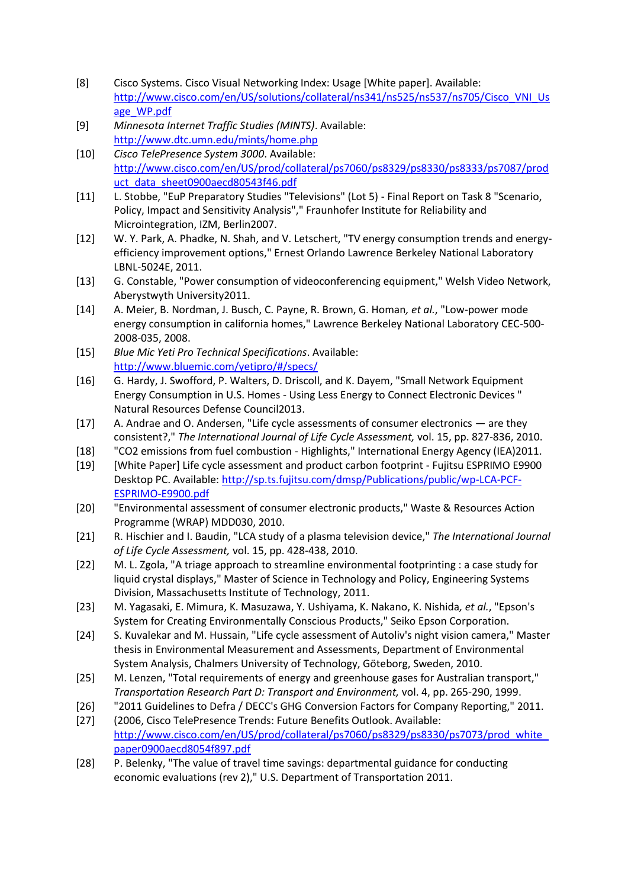- <span id="page-14-0"></span>[8] Cisco Systems. Cisco Visual Networking Index: Usage [White paper]. Available: [http://www.cisco.com/en/US/solutions/collateral/ns341/ns525/ns537/ns705/Cisco\\_VNI\\_Us](http://www.cisco.com/en/US/solutions/collateral/ns341/ns525/ns537/ns705/Cisco_VNI_Usage_WP.pdf) [age\\_WP.pdf](http://www.cisco.com/en/US/solutions/collateral/ns341/ns525/ns537/ns705/Cisco_VNI_Usage_WP.pdf)
- <span id="page-14-1"></span>[9] *Minnesota Internet Traffic Studies (MINTS)*. Available: <http://www.dtc.umn.edu/mints/home.php>
- <span id="page-14-2"></span>[10] *Cisco TelePresence System 3000*. Available: [http://www.cisco.com/en/US/prod/collateral/ps7060/ps8329/ps8330/ps8333/ps7087/prod](http://www.cisco.com/en/US/prod/collateral/ps7060/ps8329/ps8330/ps8333/ps7087/product_data_sheet0900aecd80543f46.pdf) uct data sheet0900aecd80543f46.pdf
- <span id="page-14-3"></span>[11] L. Stobbe, "EuP Preparatory Studies "Televisions" (Lot 5) - Final Report on Task 8 "Scenario, Policy, Impact and Sensitivity Analysis"," Fraunhofer Institute for Reliability and Microintegration, IZM, Berlin2007.
- <span id="page-14-4"></span>[12] W. Y. Park, A. Phadke, N. Shah, and V. Letschert, "TV energy consumption trends and energyefficiency improvement options," Ernest Orlando Lawrence Berkeley National Laboratory LBNL-5024E, 2011.
- <span id="page-14-5"></span>[13] G. Constable, "Power consumption of videoconferencing equipment," Welsh Video Network, Aberystwyth University2011.
- <span id="page-14-6"></span>[14] A. Meier, B. Nordman, J. Busch, C. Payne, R. Brown, G. Homan*, et al.*, "Low-power mode energy consumption in california homes," Lawrence Berkeley National Laboratory CEC-500- 2008-035, 2008.
- <span id="page-14-7"></span>[15] *Blue Mic Yeti Pro Technical Specifications*. Available: <http://www.bluemic.com/yetipro/#/specs/>
- <span id="page-14-8"></span>[16] G. Hardy, J. Swofford, P. Walters, D. Driscoll, and K. Dayem, "Small Network Equipment Energy Consumption in U.S. Homes - Using Less Energy to Connect Electronic Devices " Natural Resources Defense Council2013.
- <span id="page-14-9"></span>[17] A. Andrae and O. Andersen, "Life cycle assessments of consumer electronics — are they consistent?," *The International Journal of Life Cycle Assessment,* vol. 15, pp. 827-836, 2010.
- <span id="page-14-10"></span>[18] "CO2 emissions from fuel combustion - Highlights," International Energy Agency (IEA)2011.
- <span id="page-14-11"></span>[19] [White Paper] Life cycle assessment and product carbon footprint - Fujitsu ESPRIMO E9900 Desktop PC. Available: [http://sp.ts.fujitsu.com/dmsp/Publications/public/wp-LCA-PCF-](http://sp.ts.fujitsu.com/dmsp/Publications/public/wp-LCA-PCF-ESPRIMO-E9900.pdf)[ESPRIMO-E9900.pdf](http://sp.ts.fujitsu.com/dmsp/Publications/public/wp-LCA-PCF-ESPRIMO-E9900.pdf)
- <span id="page-14-12"></span>[20] "Environmental assessment of consumer electronic products," Waste & Resources Action Programme (WRAP) MDD030, 2010.
- <span id="page-14-13"></span>[21] R. Hischier and I. Baudin, "LCA study of a plasma television device," *The International Journal of Life Cycle Assessment,* vol. 15, pp. 428-438, 2010.
- <span id="page-14-14"></span>[22] M. L. Zgola, "A triage approach to streamline environmental footprinting : a case study for liquid crystal displays," Master of Science in Technology and Policy, Engineering Systems Division, Massachusetts Institute of Technology, 2011.
- <span id="page-14-15"></span>[23] M. Yagasaki, E. Mimura, K. Masuzawa, Y. Ushiyama, K. Nakano, K. Nishida*, et al.*, "Epson's System for Creating Environmentally Conscious Products," Seiko Epson Corporation.
- <span id="page-14-16"></span>[24] S. Kuvalekar and M. Hussain, "Life cycle assessment of Autoliv's night vision camera," Master thesis in Environmental Measurement and Assessments, Department of Environmental System Analysis, Chalmers University of Technology, Göteborg, Sweden, 2010.
- <span id="page-14-17"></span>[25] M. Lenzen, "Total requirements of energy and greenhouse gases for Australian transport," *Transportation Research Part D: Transport and Environment,* vol. 4, pp. 265-290, 1999.
- <span id="page-14-18"></span>[26] "2011 Guidelines to Defra / DECC's GHG Conversion Factors for Company Reporting," 2011.
- <span id="page-14-19"></span>[27] (2006, Cisco TelePresence Trends: Future Benefits Outlook. Available: [http://www.cisco.com/en/US/prod/collateral/ps7060/ps8329/ps8330/ps7073/prod\\_white\\_](http://www.cisco.com/en/US/prod/collateral/ps7060/ps8329/ps8330/ps7073/prod_white_paper0900aecd8054f897.pdf) [paper0900aecd8054f897.pdf](http://www.cisco.com/en/US/prod/collateral/ps7060/ps8329/ps8330/ps7073/prod_white_paper0900aecd8054f897.pdf)
- <span id="page-14-20"></span>[28] P. Belenky, "The value of travel time savings: departmental guidance for conducting economic evaluations (rev 2)," U.S. Department of Transportation 2011.